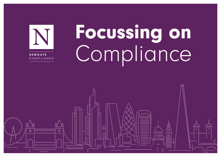

# Focussing on Compliance

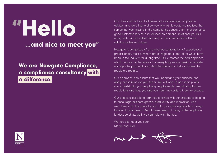## "Hello ...and nice to meet you"

## We are Newgate Compliance, a compliance consultancy with a difference.

Our clients will tell you that we're not your average compliance adviser, and we'd like to show you why. At Newgate we realised that something was missing in the compliance space; a firm that combines good customer service and focused on personal relationships. This along with our innovative and easy to use compliance software solution makes us unique.

Newgate is comprised of an unrivalled combination of experienced professionals, most of whom are ex-regulators, and all of which have been in the industry for a long time. Our customer focused approach, which puts you at the forefront of everything we do, seeks to provide appropriate, pragmatic and flexible solutions to help you meet the regulatory regime.

Our approach is to ensure that we understand your business and apply our solutions to your team. We will work in partnership with you to assist with your regulatory requirements. We will simplify the regulations and help you and your team navigate a tricky landscape.

Our aim is to build long-term relationships with our customers, helping to encourage business growth, productivity and innovation. And we'd love to do the same for you. Our proactive approach is always tailored to your needs. And if those needs change, or the regulatory landscape shifts, well, we can help with that too.

We hope to meet you soon. Martin and Aron



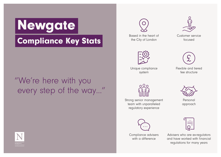## Newgate Compliance Key Stats

## "We're here with you every step of the way…"





Based in the heart of the City of London





Unique compliance system



Flexible and tiered fee structure



Strong senior management team with unparalleled regulatory experience



Compliance advisers with a difference



Personal approach



Advisers who are ex-regulators and have worked with financial regulations for many years

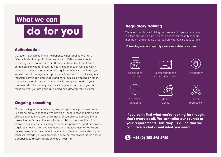### What we can

## do for you

#### Authorisation

Our team is unrivaled in their experience when dealing with FSA/ FCA authorisation applications. We have a 100% success rate in obtaining authorisation for over 500 applications. Our team have a combined knowledge of over 20 years' experience of working within the authorisation department at the regulator. When we work with you, we will project manage your application, liaise with the FCA using our technical knowledge and understanding to minimise application times, and ensure that the license obtained fully covers the needs of your business. Most importantly, we make things easy for you so you can focus on what you are good at; running and growing your business.

#### Ongoing consulting

Our consulting team provides ongoing compliance support service that is customised to your needs. We are highly experienced in helping our clients implement a governance, risk and compliance framework that covers the firm's compliance obligations. Using a combination of our software solution and consulting services, we provide support that covers regulatory training, compliance monitoring, management of regulatory developments and their impact on your firm. Regular on-site visits by our team will provide you with essential advice on compliance issues and an opportunity to discuss developments at your firm.

#### Regulatory training

We offer compliance training on a variety of topics. Our training is either provided online - which is perfect for those busy team members - or alternatively we can provide training face-to-face.

15 training courses typically centre on subjects such as:







**Compliance** induction

Senior manager & certification regime







Anti-money laundering

**Market** abuse

Financial promotions

If you can't find what you're looking for though, don't worry at all. We can tailor our courses to your requirements. Just drop us a line and we can have a chat about what you need.

 $\bigodot$  +44 (0) 203 696 8750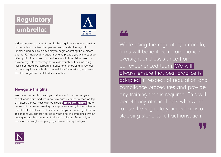



Aldgate Advisors Limited is our flexible regulatory licensing solution that enables our clients to operate quickly under the regulatory umbrella and minimise any delay to begin operating the business prior to FCA approval. Aldgate may also provide you with a stronger FCA application as we can provide you with FCA history. We can provide regulatory coverage for a wide variety of firms including investment advisory, corporate finance and fundraising. If you feel that our regulatory umbrella may well be of interest to you, please feel free to give us a call to discuss further.

#### **Newaate Insights:**

We know how much content you get in your inbox and on your social feeds daily. And we know how hard it can be to keep on top of industry trends. That's why we created **[Newgate Insights](http://newgatecompliance.com/newgate-insights)**. Here we set out our views covering a range of regulatory hot topic issues and the latest enforcement action in a simple, easy to digest format. This means you can stay on top of what's hot in compliance without having to scrabble around to find what's relevant. Better still, we make all our insights simple, jargon free and easy to digest.



## LL

While using the regulatory umbrella, firms will benefit from compliance oversight and assistance from our experienced team. We will always ensure that best practice is adopted in respect of regulation and compliance procedures and provide any training that is required. This will benefit any of our clients who want to use the regulatory umbrella as a stepping stone to full authorisation.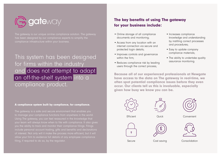

The gateway is our unique on-line compliance solution. The gateway has been designed by our compliance experts to simplify the compliance infrastructure within your business.

## This system has been designed for firms within the industry and does not attempt to adapt an off-the-shelf system into a compliance product.

#### A compliance system built by compliance, for compliance.

The gateway is a safe and secure environment that enables you to manage your compliance functions from anywhere in the world. Using The gateway, you can feel reassured in the knowledge that your team will always know when to file with compliance. It also gives you the ability to track and monitor their compliance filings. Filings include personal account trading, gifts and benefits and declarations allow your firm to evidence full details of any employee compliance filing, if required to do so, by the regulator.

### The key benefits of using The gateway for your business include:

- Online storage of all compliance documents and monitoring;
- Access from any location with an internet connection via secure and protected login details;
- Improves controls and governance within the firm;
- Reduces compliance risk by leading users through the correct process;
- Increases compliance knowledge and understanding by instilling correct processes and procedures;
- Easy to update company compliance materials;
- The ability to undertake quality assurance monitoring.

Because all of our experienced professionals at Newgate have access to the data on The gateway in real-time, we often spot potential compliance issues before they even occur. Our clients tell us this is invaluable, especially given how busy we know you can be.







Convenient



Quick





Secure

Cost saving

Consolidation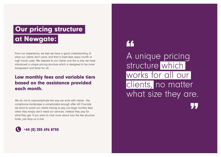## at Newgate: **Our pricing structure**

From our experience, we feel we have a good understanding of what our clients don't want; and that is fixed fees every month or high hourly costs. We listened to our clients and this is why we have introduced a unique pricing structure which is designed to be more transparent and fairer for all.

### Low monthly fees and variable tiers based on the assistance provided each month.

We do not to overcomplicate the way we work with clients - the compliance landscape is complicated enough after all! Crucially we want to avoid our clients having to pay out large monthly fees when they simply don't need our services. Instead they pay for what they get. If you want to chat more about how the fee structure looks, just drop us a line.



## **AA**

A unique pricing structure which works for all our clients, no matter what size they are.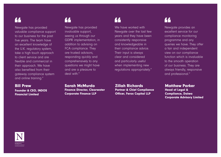## 66

Newgate has provided valuable compliance support to our business for the past five years. The team have an excellent knowledge of the U.K. regulatory system, take a high touch approach to client service and are flexible and commercial in their approach. We have also benefited from their gateway compliance system and online training."

#### Bill Prew Founder & CEO, INDOS Financial Limited

Newgate has provided invaluable support, seeing us through our GDPR implementation, in addition to advising on FCA compliance. They are trusted advisors, responding quickly and comprehensively to any questions we might have and are a pleasure to deal with."

#### Sarah McMurdo Finance Director, Clearwater Corporate Finance LLP



We have worked with Newgate over the last few years and they have been consistently responsive and knowledgeable in their compliance advice. Their input is always clear and considered and particularly useful when implementing new regulations appropriately."

Zillah Richards

Partner & Chief Compliance Officer, Ferox Capital LLP



Newgate provides an excellent service for our compliance monitoring programme and any queries we have. They offer a fair and independent view on our compliance function which is invaluable to the smooth operation of our business. They are always friendly, responsive and professional."

Matthew Parker Head of Legal & Compliance, Daiwa Corporate Advisory Limited